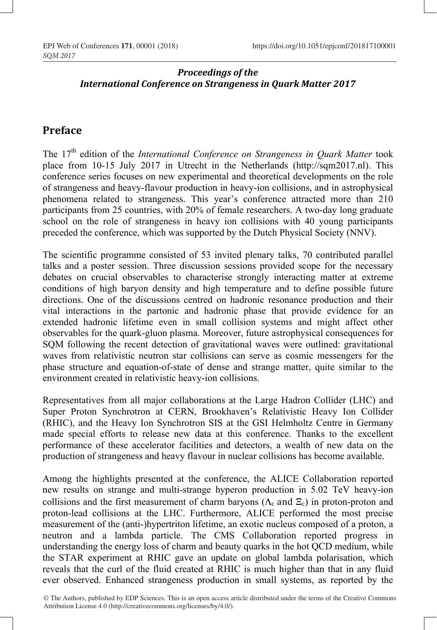## **Proceedings** of the *International Conference on Strangeness in Quark Matter 2017*

## **Preface**

The 17<sup>th</sup> edition of the *International Conference on Strangeness in Ouark Matter* took place from 10-15 July 2017 in Utrecht in the Netherlands (http://sqm2017.nl). This conference series focuses on new experimental and theoretical developments on the role of strangeness and heavy-flavour production in heavy-ion collisions, and in astrophysical phenomena related to strangeness. This year's conference attracted more than 210 participants from 25 countries, with 20% of female researchers. A two-day long graduate school on the role of strangeness in heavy ion collisions with 40 young participants preceded the conference, which was supported by the Dutch Physical Society (NNV).

The scientific programme consisted of 53 invited plenary talks, 70 contributed parallel talks and a poster session. Three discussion sessions provided scope for the necessary debates on crucial observables to characterise strongly interacting matter at extreme conditions of high baryon density and high temperature and to define possible future directions. One of the discussions centred on hadronic resonance production and their vital interactions in the partonic and hadronic phase that provide evidence for an extended hadronic lifetime even in small collision systems and might affect other observables for the quark-gluon plasma. Moreover, future astrophysical consequences for SQM following the recent detection of gravitational waves were outlined: gravitational waves from relativistic neutron star collisions can serve as cosmic messengers for the phase structure and equation-of-state of dense and strange matter, quite similar to the environment created in relativistic heavy-ion collisions.

Representatives from all major collaborations at the Large Hadron Collider (LHC) and Super Proton Synchrotron at CERN, Brookhaven's Relativistic Heavy Ion Collider (RHIC), and the Heavy Ion Synchrotron SIS at the GSI Helmholtz Centre in Germany made special efforts to release new data at this conference. Thanks to the excellent performance of these accelerator facilities and detectors, a wealth of new data on the production of strangeness and heavy flavour in nuclear collisions has become available.

Among the highlights presented at the conference, the ALICE Collaboration reported new results on strange and multi-strange hyperon production in 5.02 TeV heavy-ion collisions and the first measurement of charm baryons ( $\Lambda_c$  and  $\Xi_c$ ) in proton-proton and proton-lead collisions at the LHC. Furthermore, ALICE performed the most precise measurement of the (anti-)hypertriton lifetime, an exotic nucleus composed of a proton, a neutron and a lambda particle. The CMS Collaboration reported progress in understanding the energy loss of charm and beauty quarks in the hot QCD medium, while the STAR experiment at RHIC gave an update on global lambda polarisation, which reveals that the curl of the fluid created at RHIC is much higher than that in any fluid ever observed. Enhanced strangeness production in small systems, as reported by the